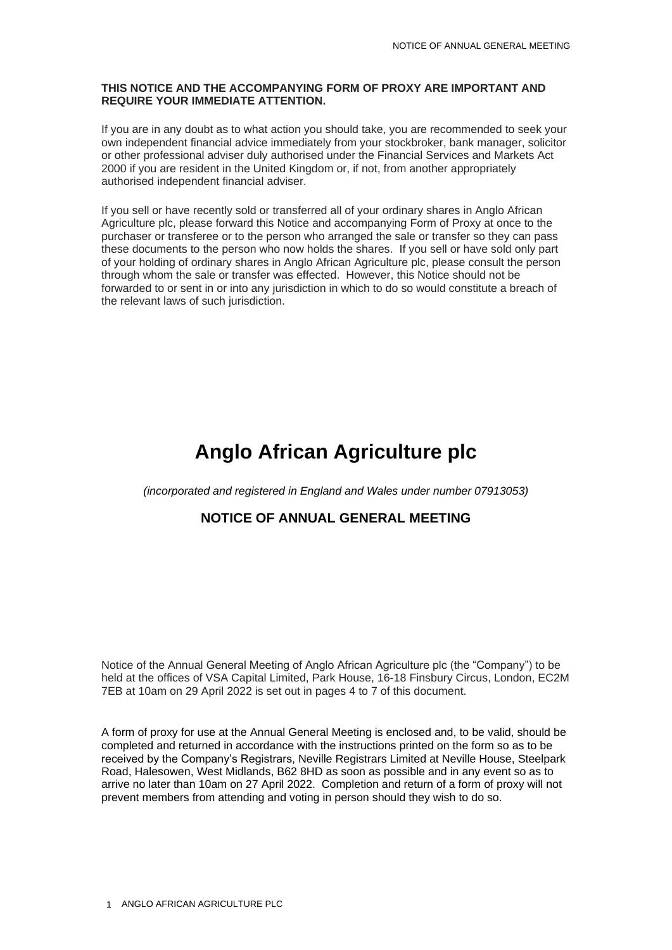#### **THIS NOTICE AND THE ACCOMPANYING FORM OF PROXY ARE IMPORTANT AND REQUIRE YOUR IMMEDIATE ATTENTION.**

If you are in any doubt as to what action you should take, you are recommended to seek your own independent financial advice immediately from your stockbroker, bank manager, solicitor or other professional adviser duly authorised under the Financial Services and Markets Act 2000 if you are resident in the United Kingdom or, if not, from another appropriately authorised independent financial adviser.

If you sell or have recently sold or transferred all of your ordinary shares in Anglo African Agriculture plc, please forward this Notice and accompanying Form of Proxy at once to the purchaser or transferee or to the person who arranged the sale or transfer so they can pass these documents to the person who now holds the shares. If you sell or have sold only part of your holding of ordinary shares in Anglo African Agriculture plc, please consult the person through whom the sale or transfer was effected. However, this Notice should not be forwarded to or sent in or into any jurisdiction in which to do so would constitute a breach of the relevant laws of such jurisdiction.

# **Anglo African Agriculture plc**

*(incorporated and registered in England and Wales under number 07913053)*

### **NOTICE OF ANNUAL GENERAL MEETING**

Notice of the Annual General Meeting of Anglo African Agriculture plc (the "Company") to be held at the offices of VSA Capital Limited, Park House, 16-18 Finsbury Circus, London, EC2M 7EB at 10am on 29 April 2022 is set out in pages 4 to 7 of this document.

A form of proxy for use at the Annual General Meeting is enclosed and, to be valid, should be completed and returned in accordance with the instructions printed on the form so as to be received by the Company's Registrars, Neville Registrars Limited at Neville House, Steelpark Road, Halesowen, West Midlands, B62 8HD as soon as possible and in any event so as to arrive no later than 10am on 27 April 2022. Completion and return of a form of proxy will not prevent members from attending and voting in person should they wish to do so.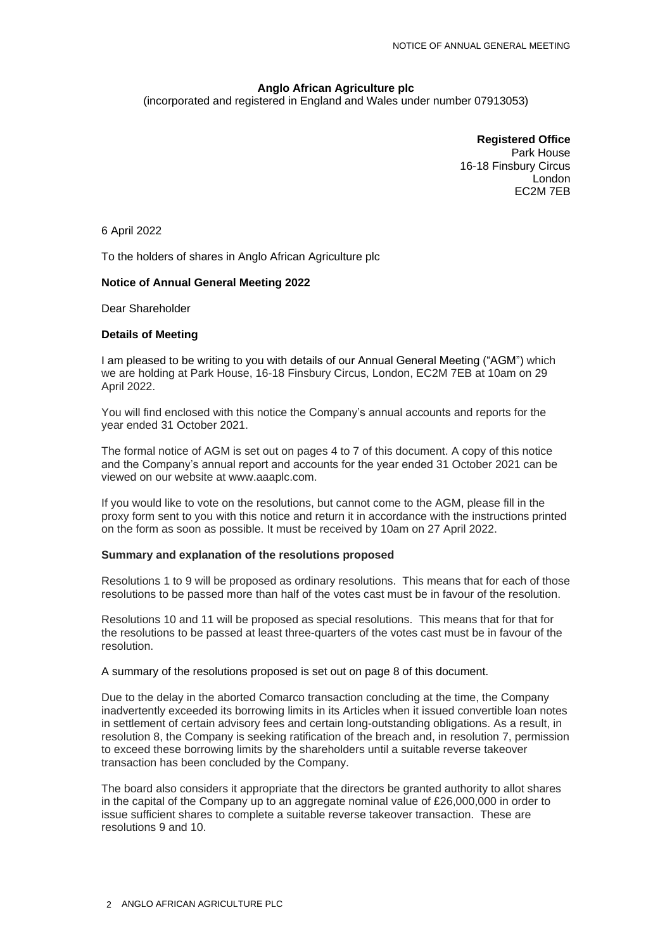### **Anglo African Agriculture plc**

(incorporated and registered in England and Wales under number 07913053)

**Registered Office** Park House 16-18 Finsbury Circus London EC2M 7EB

6 April 2022

To the holders of shares in Anglo African Agriculture plc

#### **Notice of Annual General Meeting 2022**

Dear Shareholder

#### **Details of Meeting**

I am pleased to be writing to you with details of our Annual General Meeting ("AGM") which we are holding at Park House, 16-18 Finsbury Circus, London, EC2M 7EB at 10am on 29 April 2022.

You will find enclosed with this notice the Company's annual accounts and reports for the year ended 31 October 2021.

The formal notice of AGM is set out on pages 4 to 7 of this document. A copy of this notice and the Company's annual report and accounts for the year ended 31 October 2021 can be viewed on our website at www.aaaplc.com.

If you would like to vote on the resolutions, but cannot come to the AGM, please fill in the proxy form sent to you with this notice and return it in accordance with the instructions printed on the form as soon as possible. It must be received by 10am on 27 April 2022.

#### **Summary and explanation of the resolutions proposed**

Resolutions 1 to 9 will be proposed as ordinary resolutions. This means that for each of those resolutions to be passed more than half of the votes cast must be in favour of the resolution.

Resolutions 10 and 11 will be proposed as special resolutions. This means that for that for the resolutions to be passed at least three-quarters of the votes cast must be in favour of the resolution.

A summary of the resolutions proposed is set out on page 8 of this document.

Due to the delay in the aborted Comarco transaction concluding at the time, the Company inadvertently exceeded its borrowing limits in its Articles when it issued convertible loan notes in settlement of certain advisory fees and certain long-outstanding obligations. As a result, in resolution 8, the Company is seeking ratification of the breach and, in resolution 7, permission to exceed these borrowing limits by the shareholders until a suitable reverse takeover transaction has been concluded by the Company.

The board also considers it appropriate that the directors be granted authority to allot shares in the capital of the Company up to an aggregate nominal value of £26,000,000 in order to issue sufficient shares to complete a suitable reverse takeover transaction. These are resolutions 9 and 10.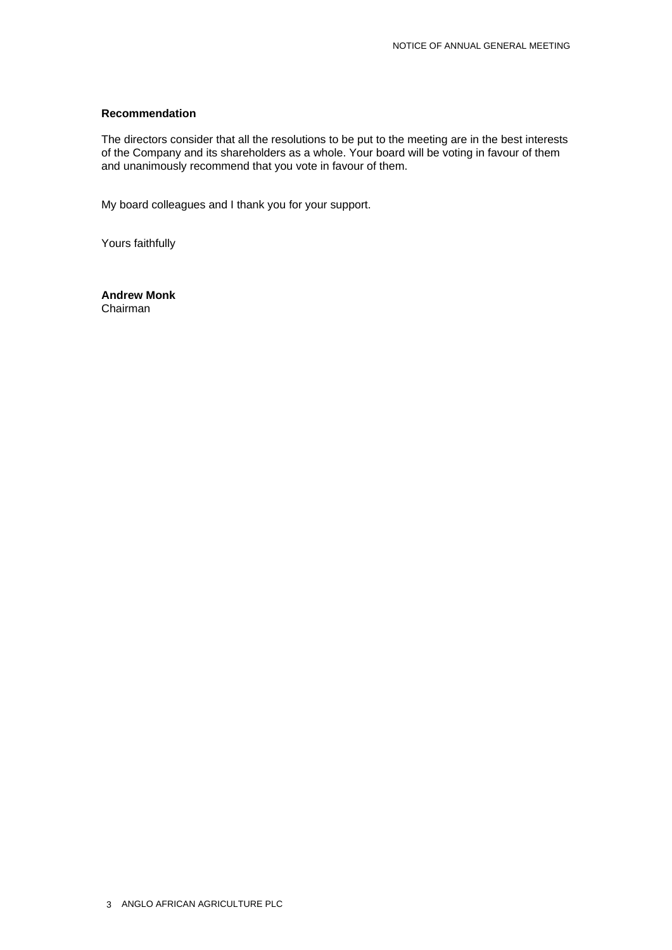#### **Recommendation**

The directors consider that all the resolutions to be put to the meeting are in the best interests of the Company and its shareholders as a whole. Your board will be voting in favour of them and unanimously recommend that you vote in favour of them.

My board colleagues and I thank you for your support.

Yours faithfully

**Andrew Monk** Chairman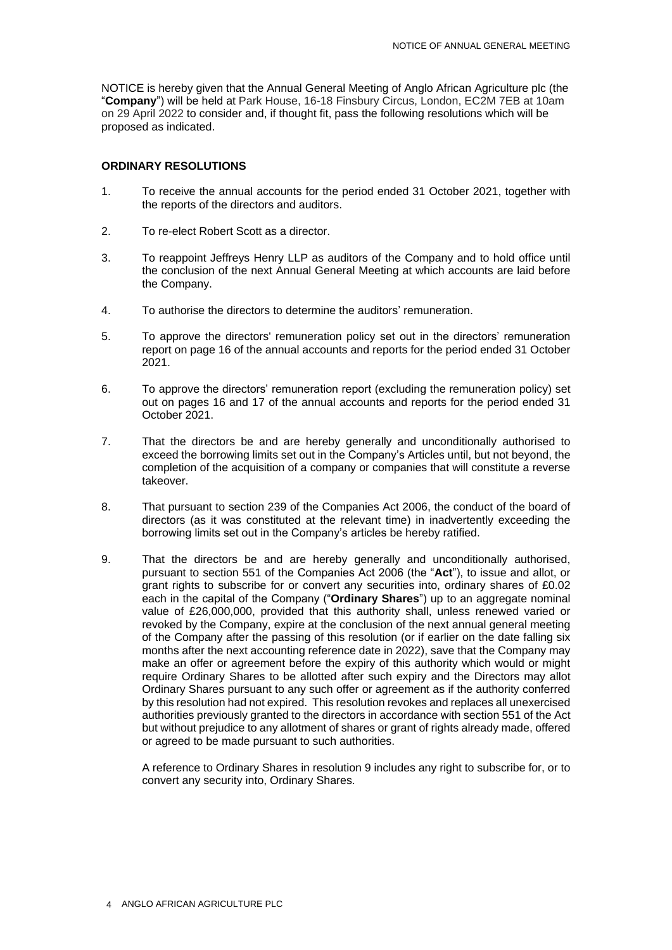NOTICE is hereby given that the Annual General Meeting of Anglo African Agriculture plc (the "**Company**") will be held at Park House, 16-18 Finsbury Circus, London, EC2M 7EB at 10am on 29 April 2022 to consider and, if thought fit, pass the following resolutions which will be proposed as indicated.

#### **ORDINARY RESOLUTIONS**

- 1. To receive the annual accounts for the period ended 31 October 2021, together with the reports of the directors and auditors.
- 2. To re-elect Robert Scott as a director.
- 3. To reappoint Jeffreys Henry LLP as auditors of the Company and to hold office until the conclusion of the next Annual General Meeting at which accounts are laid before the Company.
- 4. To authorise the directors to determine the auditors' remuneration.
- 5. To approve the directors' remuneration policy set out in the directors' remuneration report on page 16 of the annual accounts and reports for the period ended 31 October 2021.
- 6. To approve the directors' remuneration report (excluding the remuneration policy) set out on pages 16 and 17 of the annual accounts and reports for the period ended 31 October 2021.
- 7. That the directors be and are hereby generally and unconditionally authorised to exceed the borrowing limits set out in the Company's Articles until, but not beyond, the completion of the acquisition of a company or companies that will constitute a reverse takeover.
- 8. That pursuant to section 239 of the Companies Act 2006, the conduct of the board of directors (as it was constituted at the relevant time) in inadvertently exceeding the borrowing limits set out in the Company's articles be hereby ratified.
- 9. That the directors be and are hereby generally and unconditionally authorised, pursuant to section 551 of the Companies Act 2006 (the "**Act**"), to issue and allot, or grant rights to subscribe for or convert any securities into, ordinary shares of £0.02 each in the capital of the Company ("**Ordinary Shares**") up to an aggregate nominal value of £26,000,000, provided that this authority shall, unless renewed varied or revoked by the Company, expire at the conclusion of the next annual general meeting of the Company after the passing of this resolution (or if earlier on the date falling six months after the next accounting reference date in 2022), save that the Company may make an offer or agreement before the expiry of this authority which would or might require Ordinary Shares to be allotted after such expiry and the Directors may allot Ordinary Shares pursuant to any such offer or agreement as if the authority conferred by this resolution had not expired. This resolution revokes and replaces all unexercised authorities previously granted to the directors in accordance with section 551 of the Act but without prejudice to any allotment of shares or grant of rights already made, offered or agreed to be made pursuant to such authorities.

A reference to Ordinary Shares in resolution 9 includes any right to subscribe for, or to convert any security into, Ordinary Shares.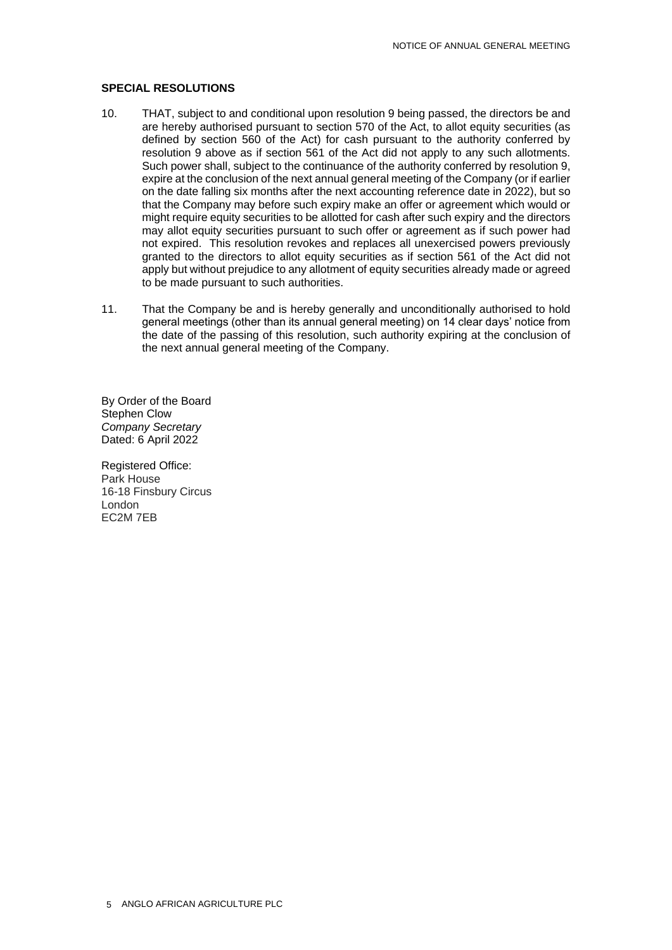#### **SPECIAL RESOLUTIONS**

- 10. THAT, subject to and conditional upon resolution 9 being passed, the directors be and are hereby authorised pursuant to section 570 of the Act, to allot equity securities (as defined by section 560 of the Act) for cash pursuant to the authority conferred by resolution 9 above as if section 561 of the Act did not apply to any such allotments. Such power shall, subject to the continuance of the authority conferred by resolution 9, expire at the conclusion of the next annual general meeting of the Company (or if earlier on the date falling six months after the next accounting reference date in 2022), but so that the Company may before such expiry make an offer or agreement which would or might require equity securities to be allotted for cash after such expiry and the directors may allot equity securities pursuant to such offer or agreement as if such power had not expired. This resolution revokes and replaces all unexercised powers previously granted to the directors to allot equity securities as if section 561 of the Act did not apply but without prejudice to any allotment of equity securities already made or agreed to be made pursuant to such authorities.
- 11. That the Company be and is hereby generally and unconditionally authorised to hold general meetings (other than its annual general meeting) on 14 clear days' notice from the date of the passing of this resolution, such authority expiring at the conclusion of the next annual general meeting of the Company.

By Order of the Board Stephen Clow *Company Secretary* Dated: 6 April 2022

Registered Office: Park House 16-18 Finsbury Circus London EC2M 7EB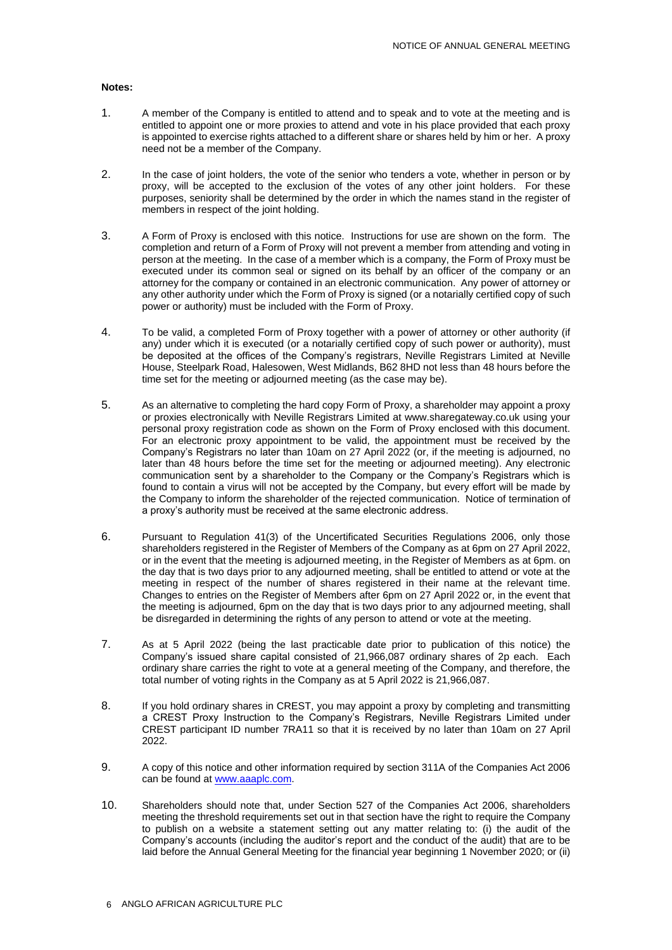#### **Notes:**

- 1. A member of the Company is entitled to attend and to speak and to vote at the meeting and is entitled to appoint one or more proxies to attend and vote in his place provided that each proxy is appointed to exercise rights attached to a different share or shares held by him or her. A proxy need not be a member of the Company.
- 2. In the case of joint holders, the vote of the senior who tenders a vote, whether in person or by proxy, will be accepted to the exclusion of the votes of any other joint holders. For these purposes, seniority shall be determined by the order in which the names stand in the register of members in respect of the joint holding.
- 3. A Form of Proxy is enclosed with this notice. Instructions for use are shown on the form. The completion and return of a Form of Proxy will not prevent a member from attending and voting in person at the meeting. In the case of a member which is a company, the Form of Proxy must be executed under its common seal or signed on its behalf by an officer of the company or an attorney for the company or contained in an electronic communication. Any power of attorney or any other authority under which the Form of Proxy is signed (or a notarially certified copy of such power or authority) must be included with the Form of Proxy.
- 4. To be valid, a completed Form of Proxy together with a power of attorney or other authority (if any) under which it is executed (or a notarially certified copy of such power or authority), must be deposited at the offices of the Company's registrars, Neville Registrars Limited at Neville House, Steelpark Road, Halesowen, West Midlands, B62 8HD not less than 48 hours before the time set for the meeting or adjourned meeting (as the case may be).
- 5. As an alternative to completing the hard copy Form of Proxy, a shareholder may appoint a proxy or proxies electronically with Neville Registrars Limited at www.sharegateway.co.uk using your personal proxy registration code as shown on the Form of Proxy enclosed with this document. For an electronic proxy appointment to be valid, the appointment must be received by the Company's Registrars no later than 10am on 27 April 2022 (or, if the meeting is adjourned, no later than 48 hours before the time set for the meeting or adjourned meeting). Any electronic communication sent by a shareholder to the Company or the Company's Registrars which is found to contain a virus will not be accepted by the Company, but every effort will be made by the Company to inform the shareholder of the rejected communication. Notice of termination of a proxy's authority must be received at the same electronic address.
- 6. Pursuant to Regulation 41(3) of the Uncertificated Securities Regulations 2006, only those shareholders registered in the Register of Members of the Company as at 6pm on 27 April 2022, or in the event that the meeting is adjourned meeting, in the Register of Members as at 6pm. on the day that is two days prior to any adjourned meeting, shall be entitled to attend or vote at the meeting in respect of the number of shares registered in their name at the relevant time. Changes to entries on the Register of Members after 6pm on 27 April 2022 or, in the event that the meeting is adjourned, 6pm on the day that is two days prior to any adjourned meeting, shall be disregarded in determining the rights of any person to attend or vote at the meeting.
- 7. As at 5 April 2022 (being the last practicable date prior to publication of this notice) the Company's issued share capital consisted of 21,966,087 ordinary shares of 2p each. Each ordinary share carries the right to vote at a general meeting of the Company, and therefore, the total number of voting rights in the Company as at 5 April 2022 is 21,966,087.
- 8. If you hold ordinary shares in CREST, you may appoint a proxy by completing and transmitting a CREST Proxy Instruction to the Company's Registrars, Neville Registrars Limited under CREST participant ID number 7RA11 so that it is received by no later than 10am on 27 April 2022.
- 9. A copy of this notice and other information required by section 311A of the Companies Act 2006 can be found at [www.aaaplc.com.](http://www.aaaplc.com/)
- 10. Shareholders should note that, under Section 527 of the Companies Act 2006, shareholders meeting the threshold requirements set out in that section have the right to require the Company to publish on a website a statement setting out any matter relating to: (i) the audit of the Company's accounts (including the auditor's report and the conduct of the audit) that are to be laid before the Annual General Meeting for the financial year beginning 1 November 2020; or (ii)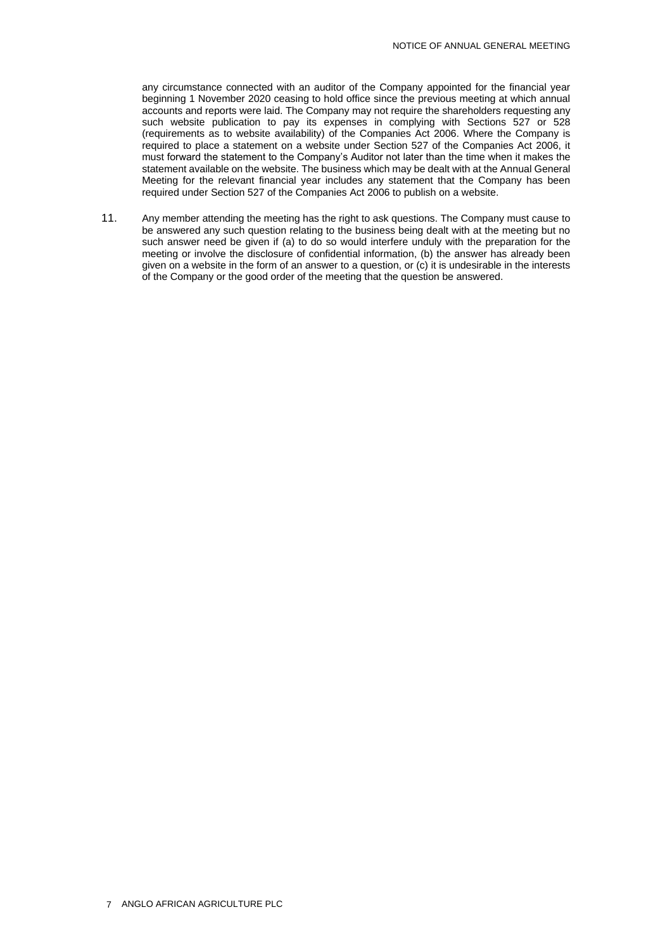any circumstance connected with an auditor of the Company appointed for the financial year beginning 1 November 2020 ceasing to hold office since the previous meeting at which annual accounts and reports were laid. The Company may not require the shareholders requesting any such website publication to pay its expenses in complying with Sections 527 or 528 (requirements as to website availability) of the Companies Act 2006. Where the Company is required to place a statement on a website under Section 527 of the Companies Act 2006, it must forward the statement to the Company's Auditor not later than the time when it makes the statement available on the website. The business which may be dealt with at the Annual General Meeting for the relevant financial year includes any statement that the Company has been required under Section 527 of the Companies Act 2006 to publish on a website.

11. Any member attending the meeting has the right to ask questions. The Company must cause to be answered any such question relating to the business being dealt with at the meeting but no such answer need be given if (a) to do so would interfere unduly with the preparation for the meeting or involve the disclosure of confidential information, (b) the answer has already been given on a website in the form of an answer to a question, or (c) it is undesirable in the interests of the Company or the good order of the meeting that the question be answered.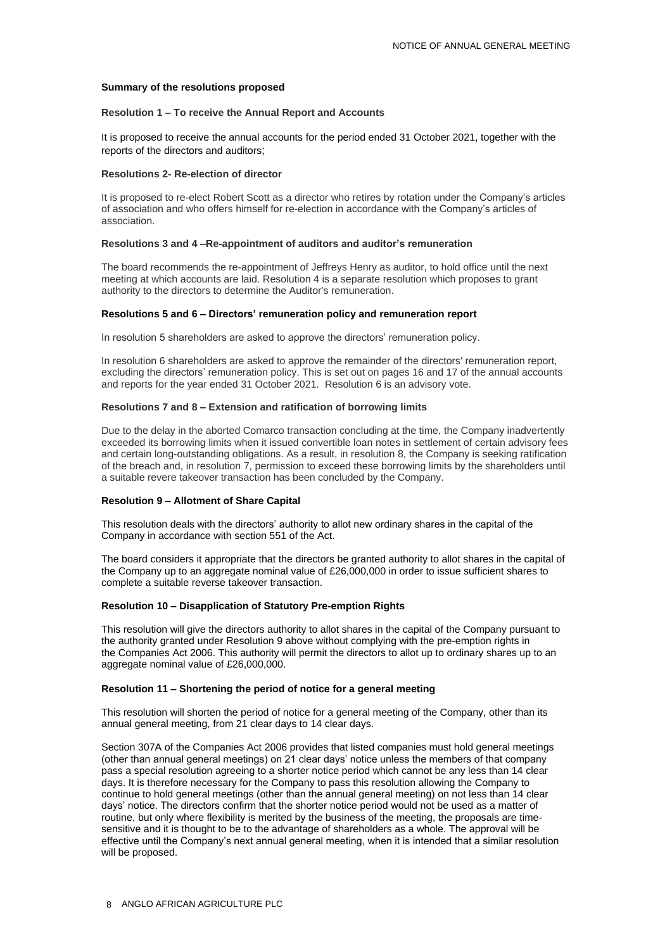#### **Summary of the resolutions proposed**

#### **Resolution 1 – To receive the Annual Report and Accounts**

It is proposed to receive the annual accounts for the period ended 31 October 2021, together with the reports of the directors and auditors;

#### **Resolutions 2- Re-election of director**

It is proposed to re-elect Robert Scott as a director who retires by rotation under the Company's articles of association and who offers himself for re-election in accordance with the Company's articles of association.

#### **Resolutions 3 and 4 –Re-appointment of auditors and auditor's remuneration**

The board recommends the re-appointment of Jeffreys Henry as auditor, to hold office until the next meeting at which accounts are laid. Resolution 4 is a separate resolution which proposes to grant authority to the directors to determine the Auditor's remuneration.

#### **Resolutions 5 and 6 – Directors' remuneration policy and remuneration report**

In resolution 5 shareholders are asked to approve the directors' remuneration policy.

In resolution 6 shareholders are asked to approve the remainder of the directors' remuneration report, excluding the directors' remuneration policy. This is set out on pages 16 and 17 of the annual accounts and reports for the year ended 31 October 2021. Resolution 6 is an advisory vote.

#### **Resolutions 7 and 8 – Extension and ratification of borrowing limits**

Due to the delay in the aborted Comarco transaction concluding at the time, the Company inadvertently exceeded its borrowing limits when it issued convertible loan notes in settlement of certain advisory fees and certain long-outstanding obligations. As a result, in resolution 8, the Company is seeking ratification of the breach and, in resolution 7, permission to exceed these borrowing limits by the shareholders until a suitable revere takeover transaction has been concluded by the Company.

#### **Resolution 9 – Allotment of Share Capital**

This resolution deals with the directors' authority to allot new ordinary shares in the capital of the Company in accordance with section 551 of the Act.

The board considers it appropriate that the directors be granted authority to allot shares in the capital of the Company up to an aggregate nominal value of £26,000,000 in order to issue sufficient shares to complete a suitable reverse takeover transaction.

#### **Resolution 10 – Disapplication of Statutory Pre-emption Rights**

This resolution will give the directors authority to allot shares in the capital of the Company pursuant to the authority granted under Resolution 9 above without complying with the pre-emption rights in the Companies Act 2006. This authority will permit the directors to allot up to ordinary shares up to an aggregate nominal value of £26,000,000.

#### **Resolution 11 – Shortening the period of notice for a general meeting**

This resolution will shorten the period of notice for a general meeting of the Company, other than its annual general meeting, from 21 clear days to 14 clear days.

Section 307A of the Companies Act 2006 provides that listed companies must hold general meetings (other than annual general meetings) on 21 clear days' notice unless the members of that company pass a special resolution agreeing to a shorter notice period which cannot be any less than 14 clear days. It is therefore necessary for the Company to pass this resolution allowing the Company to continue to hold general meetings (other than the annual general meeting) on not less than 14 clear days' notice. The directors confirm that the shorter notice period would not be used as a matter of routine, but only where flexibility is merited by the business of the meeting, the proposals are timesensitive and it is thought to be to the advantage of shareholders as a whole. The approval will be effective until the Company's next annual general meeting, when it is intended that a similar resolution will be proposed.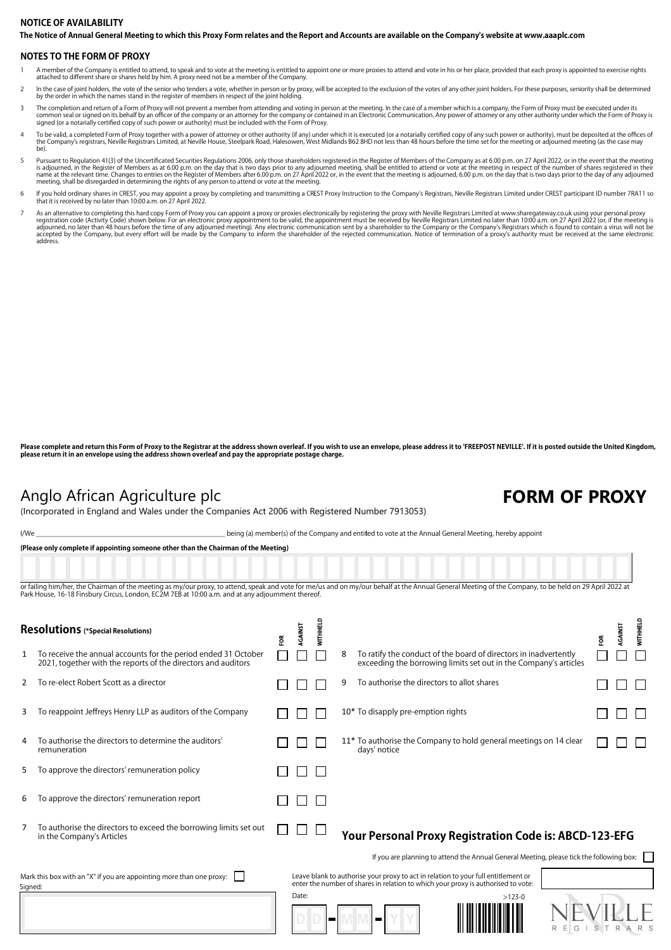#### **The Notice of Annual General Meeting to which this Proxy Form relates and the Report and Accounts are available on the Company's website at www.aaaplc.com NOTICE OF AVAILABILITY**

#### **NOTES TO THE FORM OF PROXY**

- 1 A member of the Company is entitled to attend, to speak and to vote at the meeting is entitled to appoint one or more proxies to attend and vote in his or her place, provided that each proxy is appointed to exercise righ attached to different share or shares held by him. A proxy need not be a member of the Company.
- In the case of joint holders, the vote of the senior who tenders a vote, whether in person or by proxy, will be accepted to the exclusion of the votes of any other joint holders. For these purposes, seniority shall be dete by the order in which the names stand in the register of members in respect of the joint holding.
- The completion and return of a Form of Proxy will not prevent a member from attending and voting in person at the meeting. In the case of a member which is a company, the Form of Proxy must be executed under its common seal or signed on its behalf by an officer of the company or an attorney for the company or contained in an Electronic Communication. Any power of attorney or any other authority under which the Form of Proxy is<br>sig
- To be valid, a completed Form of Proxy together with a power of attorney or other authority (if any) under which it is executed (or a notarially certified copy of any such power or authority), must be deposited at the offi
- Pursuant to Regulation 41(3) of the Uncertificated Securities Regulations 2006, only those shareholders registered in the Register of Members of the Company as at 6.00 p.m. on 27 April 2022, or in the event that the meeti
- 6 If you hold ordinary shares in CREST, you may appoint a proxy by completing and transmitting a CREST Proxy Instruction to the Company's Registrars, Neville Registrars Limited under CREST participant ID number 7RA11 so<br>th
- As an alternative to completing this hard copy Form of Proxy you can appoint a proxy or proxies electronically by registering the proxy with Neville Registrars Limited at www.sharegateway.co.uk using your personal proxy or address.

Please complete and return this Form of Proxy to the Registrar at the address shown overleaf. If you wish to use an envelope, please address it to 'FREEPOST NEVILLE'. If it is posted outside the United Kingdom, **please return it in an envelope using the address shown overleaf and pay the appropriate postage charge.**

## Anglo African Agriculture plc **FORM OF PROXY**

(Incorporated in England and Wales under the Companies Act 2006 with Registered Number 7913053)

| I/We | being (a) member(s) of the Company and enti <b>t</b> ed to vote at the Annual General Meeting, hereby appoint_ |  |
|------|----------------------------------------------------------------------------------------------------------------|--|
|------|----------------------------------------------------------------------------------------------------------------|--|

| (Please only complete if appointing someone other than the Chairman of the Meeting)                                                                                                                                                                                                                         |  |  |  |  |  |  |  |  |  |  |  |  |
|-------------------------------------------------------------------------------------------------------------------------------------------------------------------------------------------------------------------------------------------------------------------------------------------------------------|--|--|--|--|--|--|--|--|--|--|--|--|
|                                                                                                                                                                                                                                                                                                             |  |  |  |  |  |  |  |  |  |  |  |  |
| or failing him/her, the Chairman of the meeting as my/our proxy, to attend, speak and vote for me/us and on my/our behalf at the Annual General Meeting of the Company, to be held on 29 April 2022 at<br>Park House, 16-18 Finsbury Circus, London, EC2M 7EB at 10:00 a.m. and at any adjournment thereof. |  |  |  |  |  |  |  |  |  |  |  |  |

읍  $\mathbf{a}$ t.  $\overline{a}$ **Resolutions (\*Special Resolutions)**

|                                                                                 | nesolutions (*special Resolutions)                                                                                              | ξŘ | Š     | Ì |   |                                                                                                                                                                         | ã | AGAIN | <b>ENE</b> |
|---------------------------------------------------------------------------------|---------------------------------------------------------------------------------------------------------------------------------|----|-------|---|---|-------------------------------------------------------------------------------------------------------------------------------------------------------------------------|---|-------|------------|
|                                                                                 | To receive the annual accounts for the period ended 31 October<br>2021, together with the reports of the directors and auditors |    |       |   | 8 | To ratify the conduct of the board of directors in inadvertently<br>exceeding the borrowing limits set out in the Company's articles                                    |   |       |            |
|                                                                                 | To re-elect Robert Scott as a director                                                                                          |    |       |   | 9 | To authorise the directors to allot shares                                                                                                                              |   |       |            |
| 3                                                                               | To reappoint Jeffreys Henry LLP as auditors of the Company                                                                      |    |       |   |   | 10* To disapply pre-emption rights                                                                                                                                      |   |       |            |
|                                                                                 | To authorise the directors to determine the auditors'<br>remuneration                                                           |    |       |   |   | 11* To authorise the Company to hold general meetings on 14 clear<br>days' notice                                                                                       |   |       |            |
| 5                                                                               | To approve the directors' remuneration policy                                                                                   |    |       |   |   |                                                                                                                                                                         |   |       |            |
| 6                                                                               | To approve the directors' remuneration report                                                                                   |    |       |   |   |                                                                                                                                                                         |   |       |            |
|                                                                                 | To authorise the directors to exceed the borrowing limits set out<br>in the Company's Articles                                  |    |       |   |   | Your Personal Proxy Registration Code is: ABCD-123-EFG                                                                                                                  |   |       |            |
|                                                                                 |                                                                                                                                 |    |       |   |   | If you are planning to attend the Annual General Meeting, please tick the following box:                                                                                |   |       |            |
| Mark this box with an "X" if you are appointing more than one proxy:<br>Signed: |                                                                                                                                 |    |       |   |   | Leave blank to authorise your proxy to act in relation to your full entitlement or<br>enter the number of shares in relation to which your proxy is authorised to vote: |   |       |            |
|                                                                                 |                                                                                                                                 |    | Date: |   |   | $>123-0$<br>R<br>G                                                                                                                                                      | S | R     |            |